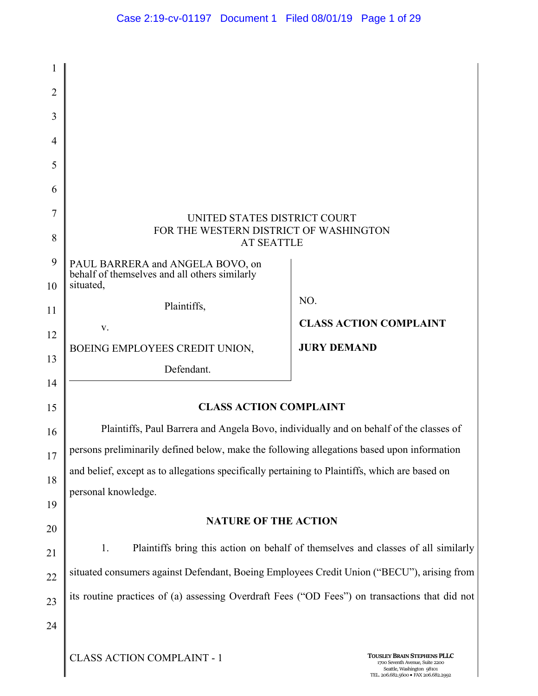| 1              |                                                                                                |                                                                                                                                            |  |
|----------------|------------------------------------------------------------------------------------------------|--------------------------------------------------------------------------------------------------------------------------------------------|--|
| $\overline{2}$ |                                                                                                |                                                                                                                                            |  |
| 3              |                                                                                                |                                                                                                                                            |  |
| 4              |                                                                                                |                                                                                                                                            |  |
| 5              |                                                                                                |                                                                                                                                            |  |
| 6              |                                                                                                |                                                                                                                                            |  |
| 7              | UNITED STATES DISTRICT COURT                                                                   |                                                                                                                                            |  |
| 8              | FOR THE WESTERN DISTRICT OF WASHINGTON<br><b>AT SEATTLE</b>                                    |                                                                                                                                            |  |
| 9              | PAUL BARRERA and ANGELA BOVO, on<br>behalf of themselves and all others similarly              |                                                                                                                                            |  |
| 10             | situated,                                                                                      |                                                                                                                                            |  |
| 11             | Plaintiffs,                                                                                    | NO.                                                                                                                                        |  |
| 12             | V.                                                                                             | <b>CLASS ACTION COMPLAINT</b>                                                                                                              |  |
| 13             | BOEING EMPLOYEES CREDIT UNION,                                                                 | <b>JURY DEMAND</b>                                                                                                                         |  |
|                | Defendant.                                                                                     |                                                                                                                                            |  |
| 14<br>15       | <b>CLASS ACTION COMPLAINT</b>                                                                  |                                                                                                                                            |  |
|                |                                                                                                |                                                                                                                                            |  |
| 16             | Plaintiffs, Paul Barrera and Angela Bovo, individually and on behalf of the classes of         |                                                                                                                                            |  |
| 17             | persons preliminarily defined below, make the following allegations based upon information     |                                                                                                                                            |  |
| 18             | and belief, except as to allegations specifically pertaining to Plaintiffs, which are based on |                                                                                                                                            |  |
| 19             | personal knowledge.                                                                            |                                                                                                                                            |  |
| 20             | <b>NATURE OF THE ACTION</b>                                                                    |                                                                                                                                            |  |
| 21             | Plaintiffs bring this action on behalf of themselves and classes of all similarly<br>1.        |                                                                                                                                            |  |
| 22             | situated consumers against Defendant, Boeing Employees Credit Union ("BECU"), arising from     |                                                                                                                                            |  |
| 23             | its routine practices of (a) assessing Overdraft Fees ("OD Fees") on transactions that did not |                                                                                                                                            |  |
| 24             |                                                                                                |                                                                                                                                            |  |
|                |                                                                                                |                                                                                                                                            |  |
|                | <b>CLASS ACTION COMPLAINT - 1</b>                                                              | <b>TOUSLEY BRAIN STEPHENS PLLC</b><br>1700 Seventh Avenue, Suite 2200<br>Seattle, Washington 98101<br>TEL. 206.682.5600 · FAX 206.682.2992 |  |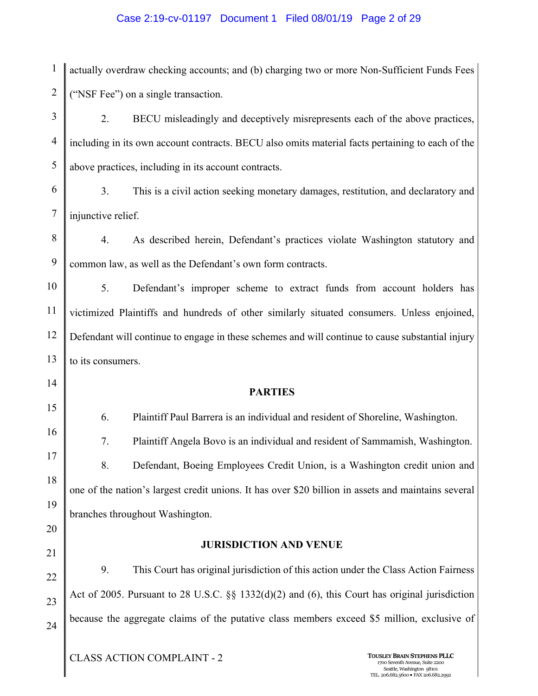#### Case 2:19-cv-01197 Document 1 Filed 08/01/19 Page 2 of 29

1 2 actually overdraw checking accounts; and (b) charging two or more Non-Sufficient Funds Fees ("NSF Fee") on a single transaction.

3 4 5 2. BECU misleadingly and deceptively misrepresents each of the above practices, including in its own account contracts. BECU also omits material facts pertaining to each of the above practices, including in its account contracts.

- 6 7 3. This is a civil action seeking monetary damages, restitution, and declaratory and injunctive relief.
- 8 9 4. As described herein, Defendant's practices violate Washington statutory and common law, as well as the Defendant's own form contracts.

10 11 12 13 5. Defendant's improper scheme to extract funds from account holders has victimized Plaintiffs and hundreds of other similarly situated consumers. Unless enjoined, Defendant will continue to engage in these schemes and will continue to cause substantial injury to its consumers.

**PARTIES** 

6. Plaintiff Paul Barrera is an individual and resident of Shoreline, Washington. 7. Plaintiff Angela Bovo is an individual and resident of Sammamish, Washington. 8. Defendant, Boeing Employees Credit Union, is a Washington credit union and one of the nation's largest credit unions. It has over \$20 billion in assets and maintains several branches throughout Washington.

20

14

15

16

17

18

19

21

#### **JURISDICTION AND VENUE**

22 23 24 9. This Court has original jurisdiction of this action under the Class Action Fairness Act of 2005. Pursuant to 28 U.S.C. §§ 1332(d)(2) and (6), this Court has original jurisdiction because the aggregate claims of the putative class members exceed \$5 million, exclusive of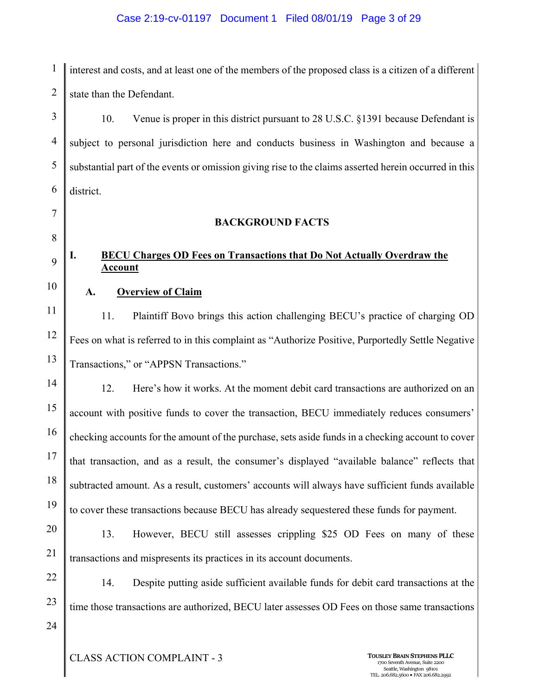### Case 2:19-cv-01197 Document 1 Filed 08/01/19 Page 3 of 29

1 2 interest and costs, and at least one of the members of the proposed class is a citizen of a different state than the Defendant.

3 4 5 6 10. Venue is proper in this district pursuant to 28 U.S.C. §1391 because Defendant is subject to personal jurisdiction here and conducts business in Washington and because a substantial part of the events or omission giving rise to the claims asserted herein occurred in this district.

**BACKGROUND FACTS** 

## **I. BECU Charges OD Fees on Transactions that Do Not Actually Overdraw the Account**

10

7

8

9

## **A. Overview of Claim**

11 12 13 11. Plaintiff Bovo brings this action challenging BECU's practice of charging OD Fees on what is referred to in this complaint as "Authorize Positive, Purportedly Settle Negative Transactions," or "APPSN Transactions."

14 15 16 17 18 19 12. Here's how it works. At the moment debit card transactions are authorized on an account with positive funds to cover the transaction, BECU immediately reduces consumers' checking accounts for the amount of the purchase, sets aside funds in a checking account to cover that transaction, and as a result, the consumer's displayed "available balance" reflects that subtracted amount. As a result, customers' accounts will always have sufficient funds available to cover these transactions because BECU has already sequestered these funds for payment.

# 20 21

13. However, BECU still assesses crippling \$25 OD Fees on many of these transactions and mispresents its practices in its account documents.

22 23 14. Despite putting aside sufficient available funds for debit card transactions at the time those transactions are authorized, BECU later assesses OD Fees on those same transactions

24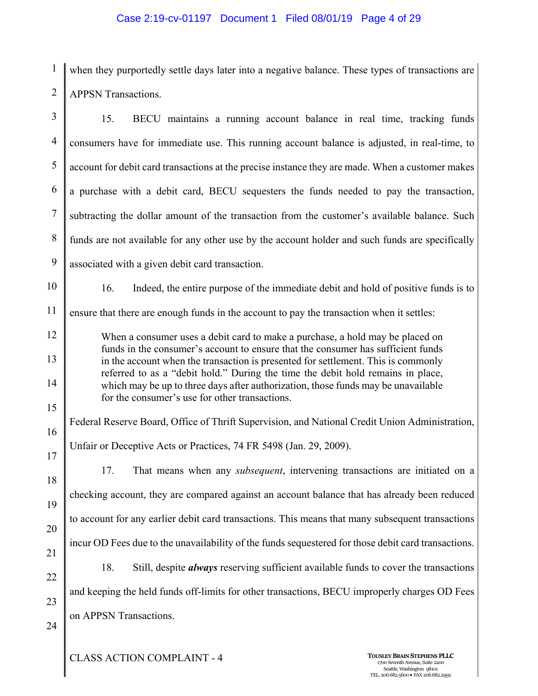## Case 2:19-cv-01197 Document 1 Filed 08/01/19 Page 4 of 29

1 2 when they purportedly settle days later into a negative balance. These types of transactions are APPSN Transactions.

| $\overline{3}$ | 15.<br>BECU maintains a running account balance in real time, tracking funds                                                                                         |  |  |
|----------------|----------------------------------------------------------------------------------------------------------------------------------------------------------------------|--|--|
| $\overline{4}$ | consumers have for immediate use. This running account balance is adjusted, in real-time, to                                                                         |  |  |
| 5              | account for debit card transactions at the precise instance they are made. When a customer makes                                                                     |  |  |
| 6              | a purchase with a debit card, BECU sequesters the funds needed to pay the transaction,                                                                               |  |  |
| $\tau$         | subtracting the dollar amount of the transaction from the customer's available balance. Such                                                                         |  |  |
| 8              | funds are not available for any other use by the account holder and such funds are specifically                                                                      |  |  |
| 9              | associated with a given debit card transaction.                                                                                                                      |  |  |
| 10             | 16.<br>Indeed, the entire purpose of the immediate debit and hold of positive funds is to                                                                            |  |  |
| 11             | ensure that there are enough funds in the account to pay the transaction when it settles:                                                                            |  |  |
| 12             | When a consumer uses a debit card to make a purchase, a hold may be placed on<br>funds in the consumer's account to ensure that the consumer has sufficient funds    |  |  |
| 13             | in the account when the transaction is presented for settlement. This is commonly<br>referred to as a "debit hold." During the time the debit hold remains in place, |  |  |
| 14             | which may be up to three days after authorization, those funds may be unavailable<br>for the consumer's use for other transactions.                                  |  |  |
| 15             |                                                                                                                                                                      |  |  |
| 16             | Federal Reserve Board, Office of Thrift Supervision, and National Credit Union Administration,                                                                       |  |  |
| 17             | Unfair or Deceptive Acts or Practices, 74 FR 5498 (Jan. 29, 2009).                                                                                                   |  |  |
| 18             | 17.<br>That means when any <i>subsequent</i> , intervening transactions are initiated on a                                                                           |  |  |
| 19             | checking account, they are compared against an account balance that has already been reduced                                                                         |  |  |
| 20             | to account for any earlier debit card transactions. This means that many subsequent transactions                                                                     |  |  |
| 21             | incur OD Fees due to the unavailability of the funds sequestered for those debit card transactions.                                                                  |  |  |
| 22             | Still, despite <i>always</i> reserving sufficient available funds to cover the transactions<br>18.                                                                   |  |  |
| 23             | and keeping the held funds off-limits for other transactions, BECU improperly charges OD Fees                                                                        |  |  |
| 24             | on APPSN Transactions.                                                                                                                                               |  |  |
|                |                                                                                                                                                                      |  |  |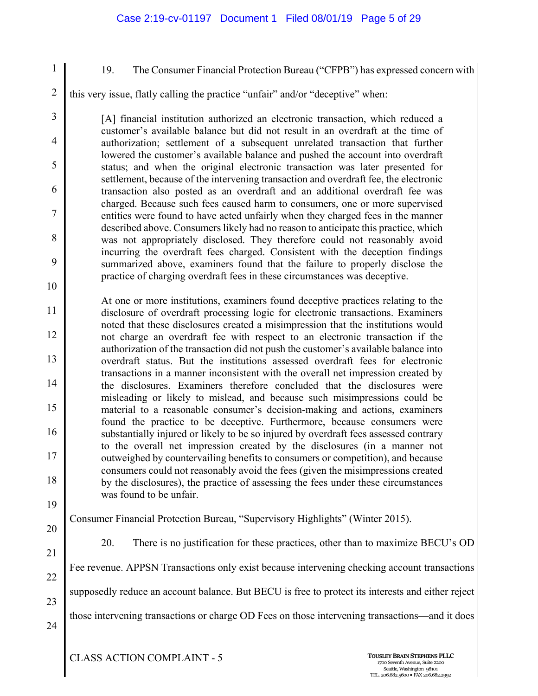3

4

5

6

7

8

9

10

1

19. The Consumer Financial Protection Bureau ("CFPB") has expressed concern with

2 this very issue, flatly calling the practice "unfair" and/or "deceptive" when:

[A] financial institution authorized an electronic transaction, which reduced a customer's available balance but did not result in an overdraft at the time of authorization; settlement of a subsequent unrelated transaction that further lowered the customer's available balance and pushed the account into overdraft status; and when the original electronic transaction was later presented for settlement, because of the intervening transaction and overdraft fee, the electronic transaction also posted as an overdraft and an additional overdraft fee was charged. Because such fees caused harm to consumers, one or more supervised entities were found to have acted unfairly when they charged fees in the manner described above. Consumers likely had no reason to anticipate this practice, which was not appropriately disclosed. They therefore could not reasonably avoid incurring the overdraft fees charged. Consistent with the deception findings summarized above, examiners found that the failure to properly disclose the practice of charging overdraft fees in these circumstances was deceptive.

11 12 13 14 15 16 17 18 At one or more institutions, examiners found deceptive practices relating to the disclosure of overdraft processing logic for electronic transactions. Examiners noted that these disclosures created a misimpression that the institutions would not charge an overdraft fee with respect to an electronic transaction if the authorization of the transaction did not push the customer's available balance into overdraft status. But the institutions assessed overdraft fees for electronic transactions in a manner inconsistent with the overall net impression created by the disclosures. Examiners therefore concluded that the disclosures were misleading or likely to mislead, and because such misimpressions could be material to a reasonable consumer's decision-making and actions, examiners found the practice to be deceptive. Furthermore, because consumers were substantially injured or likely to be so injured by overdraft fees assessed contrary to the overall net impression created by the disclosures (in a manner not outweighed by countervailing benefits to consumers or competition), and because consumers could not reasonably avoid the fees (given the misimpressions created by the disclosures), the practice of assessing the fees under these circumstances was found to be unfair.

19

Consumer Financial Protection Bureau, "Supervisory Highlights" (Winter 2015).

20

21

24

20. There is no justification for these practices, other than to maximize BECU's OD

22 Fee revenue. APPSN Transactions only exist because intervening checking account transactions

23 supposedly reduce an account balance. But BECU is free to protect its interests and either reject

those intervening transactions or charge OD Fees on those intervening transactions—and it does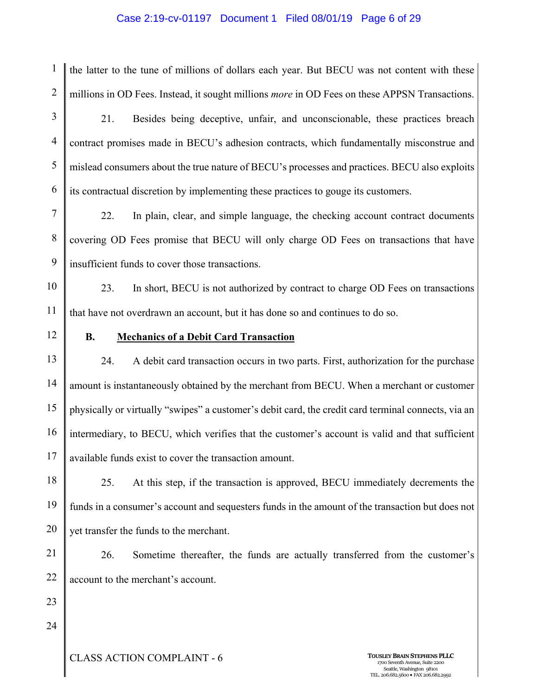#### Case 2:19-cv-01197 Document 1 Filed 08/01/19 Page 6 of 29

1 2 the latter to the tune of millions of dollars each year. But BECU was not content with these millions in OD Fees. Instead, it sought millions *more* in OD Fees on these APPSN Transactions.

3 4 5 6 21. Besides being deceptive, unfair, and unconscionable, these practices breach contract promises made in BECU's adhesion contracts, which fundamentally misconstrue and mislead consumers about the true nature of BECU's processes and practices. BECU also exploits its contractual discretion by implementing these practices to gouge its customers.

7 8 9 22. In plain, clear, and simple language, the checking account contract documents covering OD Fees promise that BECU will only charge OD Fees on transactions that have insufficient funds to cover those transactions.

10 11 23. In short, BECU is not authorized by contract to charge OD Fees on transactions that have not overdrawn an account, but it has done so and continues to do so.

12

### **B. Mechanics of a Debit Card Transaction**

13 14 15 16 17 24. A debit card transaction occurs in two parts. First, authorization for the purchase amount is instantaneously obtained by the merchant from BECU. When a merchant or customer physically or virtually "swipes" a customer's debit card, the credit card terminal connects, via an intermediary, to BECU, which verifies that the customer's account is valid and that sufficient available funds exist to cover the transaction amount.

18 19 20 25. At this step, if the transaction is approved, BECU immediately decrements the funds in a consumer's account and sequesters funds in the amount of the transaction but does not yet transfer the funds to the merchant.

21 22 26. Sometime thereafter, the funds are actually transferred from the customer's account to the merchant's account.

23

24

**CLASS ACTION COMPLAINT - 6 TOUSLEY BRAIN STEPHENS PLLC**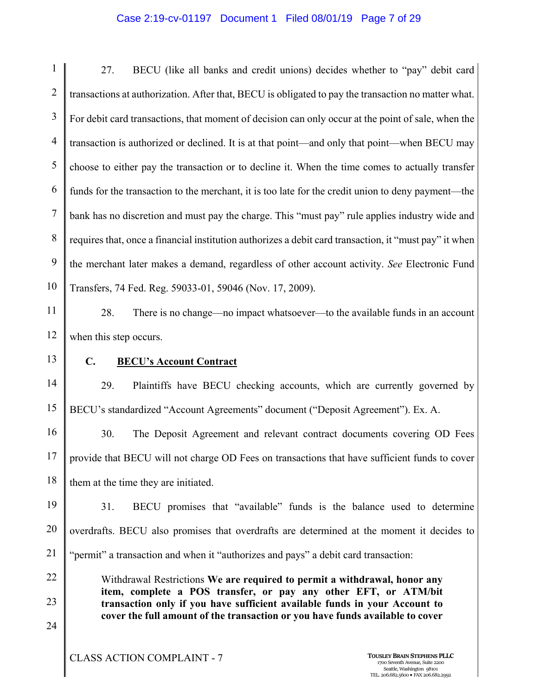#### Case 2:19-cv-01197 Document 1 Filed 08/01/19 Page 7 of 29

1 2 3 4 5 6 7 8 9 10 27. BECU (like all banks and credit unions) decides whether to "pay" debit card transactions at authorization. After that, BECU is obligated to pay the transaction no matter what. For debit card transactions, that moment of decision can only occur at the point of sale, when the transaction is authorized or declined. It is at that point—and only that point—when BECU may choose to either pay the transaction or to decline it. When the time comes to actually transfer funds for the transaction to the merchant, it is too late for the credit union to deny payment—the bank has no discretion and must pay the charge. This "must pay" rule applies industry wide and requires that, once a financial institution authorizes a debit card transaction, it "must pay" it when the merchant later makes a demand, regardless of other account activity. *See* Electronic Fund Transfers, 74 Fed. Reg. 59033-01, 59046 (Nov. 17, 2009).

11 12 28. There is no change—no impact whatsoever—to the available funds in an account when this step occurs.

13

### **C. BECU's Account Contract**

14 15 29. Plaintiffs have BECU checking accounts, which are currently governed by BECU's standardized "Account Agreements" document ("Deposit Agreement"). Ex. A.

16 17 18 30. The Deposit Agreement and relevant contract documents covering OD Fees provide that BECU will not charge OD Fees on transactions that have sufficient funds to cover them at the time they are initiated.

19 20 21 31. BECU promises that "available" funds is the balance used to determine overdrafts. BECU also promises that overdrafts are determined at the moment it decides to "permit" a transaction and when it "authorizes and pays" a debit card transaction:

> Withdrawal Restrictions **We are required to permit a withdrawal, honor any item, complete a POS transfer, or pay any other EFT, or ATM/bit transaction only if you have sufficient available funds in your Account to cover the full amount of the transaction or you have funds available to cover**

- 22
- 23
- 

24

**CLASS ACTION COMPLAINT - 7 TOUSLEY BRAIN STEPHENS PLLC**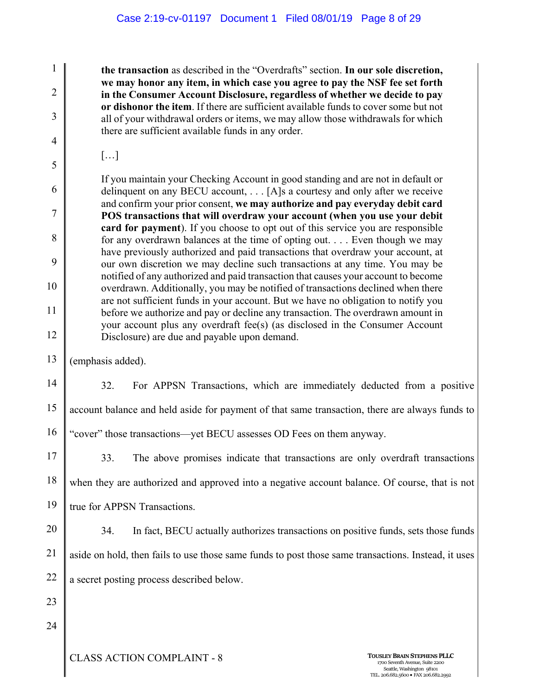**the transaction** as described in the "Overdrafts" section. **In our sole discretion, we may honor any item, in which case you agree to pay the NSF fee set forth in the Consumer Account Disclosure, regardless of whether we decide to pay or dishonor the item**. If there are sufficient available funds to cover some but not all of your withdrawal orders or items, we may allow those withdrawals for which there are sufficient available funds in any order.

[…]

1

2

3

4

5

6

7

8

9

10

11

12

If you maintain your Checking Account in good standing and are not in default or delinquent on any BECU account, . . . [A]s a courtesy and only after we receive and confirm your prior consent, **we may authorize and pay everyday debit card POS transactions that will overdraw your account (when you use your debit card for payment**). If you choose to opt out of this service you are responsible for any overdrawn balances at the time of opting out. . . . Even though we may have previously authorized and paid transactions that overdraw your account, at our own discretion we may decline such transactions at any time. You may be notified of any authorized and paid transaction that causes your account to become overdrawn. Additionally, you may be notified of transactions declined when there are not sufficient funds in your account. But we have no obligation to notify you before we authorize and pay or decline any transaction. The overdrawn amount in your account plus any overdraft fee(s) (as disclosed in the Consumer Account Disclosure) are due and payable upon demand.

13 (emphasis added).

14 15 16 32. For APPSN Transactions, which are immediately deducted from a positive account balance and held aside for payment of that same transaction, there are always funds to "cover" those transactions—yet BECU assesses OD Fees on them anyway.

17 18 19 33. The above promises indicate that transactions are only overdraft transactions when they are authorized and approved into a negative account balance. Of course, that is not true for APPSN Transactions.

20

21

22

34. In fact, BECU actually authorizes transactions on positive funds, sets those funds aside on hold, then fails to use those same funds to post those same transactions. Instead, it uses a secret posting process described below.

23

24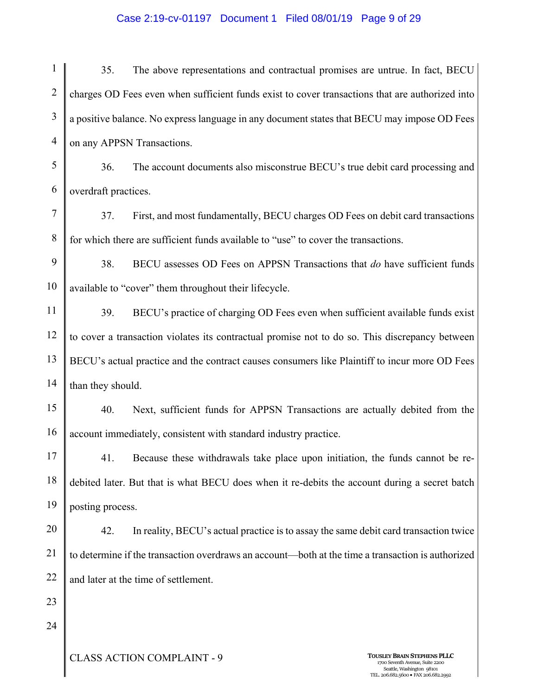#### Case 2:19-cv-01197 Document 1 Filed 08/01/19 Page 9 of 29

1 2 3 4 5 6 7 8 9 10 11 12 13 14 15 16 17 18 19 20 21 22 23 24 35. The above representations and contractual promises are untrue. In fact, BECU charges OD Fees even when sufficient funds exist to cover transactions that are authorized into a positive balance. No express language in any document states that BECU may impose OD Fees on any APPSN Transactions. 36. The account documents also misconstrue BECU's true debit card processing and overdraft practices. 37. First, and most fundamentally, BECU charges OD Fees on debit card transactions for which there are sufficient funds available to "use" to cover the transactions. 38. BECU assesses OD Fees on APPSN Transactions that *do* have sufficient funds available to "cover" them throughout their lifecycle. 39. BECU's practice of charging OD Fees even when sufficient available funds exist to cover a transaction violates its contractual promise not to do so. This discrepancy between BECU's actual practice and the contract causes consumers like Plaintiff to incur more OD Fees than they should. 40. Next, sufficient funds for APPSN Transactions are actually debited from the account immediately, consistent with standard industry practice. 41. Because these withdrawals take place upon initiation, the funds cannot be redebited later. But that is what BECU does when it re-debits the account during a secret batch posting process. 42. In reality, BECU's actual practice is to assay the same debit card transaction twice to determine if the transaction overdraws an account—both at the time a transaction is authorized and later at the time of settlement.

**CLASS ACTION COMPLAINT - 9 TOUSLEY BRAIN STEPHENS PLLC**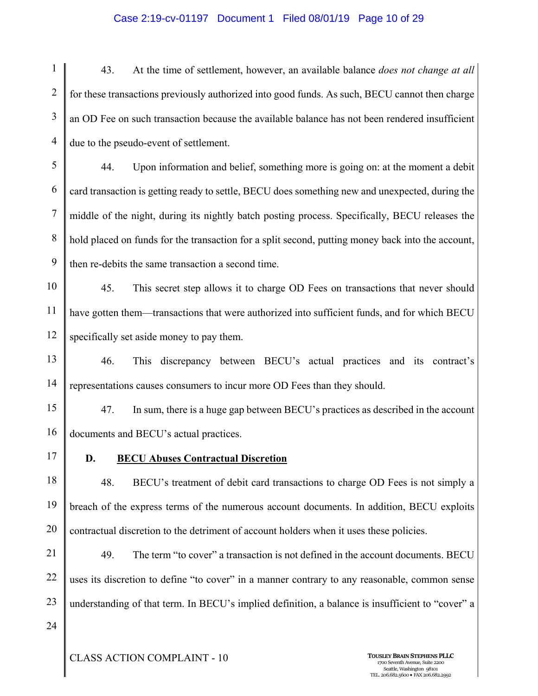#### Case 2:19-cv-01197 Document 1 Filed 08/01/19 Page 10 of 29

1 2 3 4 43. At the time of settlement, however, an available balance *does not change at all*  for these transactions previously authorized into good funds. As such, BECU cannot then charge an OD Fee on such transaction because the available balance has not been rendered insufficient due to the pseudo-event of settlement.

5 6 7 8 9 44. Upon information and belief, something more is going on: at the moment a debit card transaction is getting ready to settle, BECU does something new and unexpected, during the middle of the night, during its nightly batch posting process. Specifically, BECU releases the hold placed on funds for the transaction for a split second, putting money back into the account, then re-debits the same transaction a second time.

10 11 12 45. This secret step allows it to charge OD Fees on transactions that never should have gotten them—transactions that were authorized into sufficient funds, and for which BECU specifically set aside money to pay them.

13 14 46. This discrepancy between BECU's actual practices and its contract's representations causes consumers to incur more OD Fees than they should.

15 16 47. In sum, there is a huge gap between BECU's practices as described in the account documents and BECU's actual practices.

17

## **D. BECU Abuses Contractual Discretion**

18 19 20 48. BECU's treatment of debit card transactions to charge OD Fees is not simply a breach of the express terms of the numerous account documents. In addition, BECU exploits contractual discretion to the detriment of account holders when it uses these policies.

21 22 23 49. The term "to cover" a transaction is not defined in the account documents. BECU uses its discretion to define "to cover" in a manner contrary to any reasonable, common sense understanding of that term. In BECU's implied definition, a balance is insufficient to "cover" a

24

**CLASS ACTION COMPLAINT - 10 TOUSLEY BRAIN STEPHENS PLLC**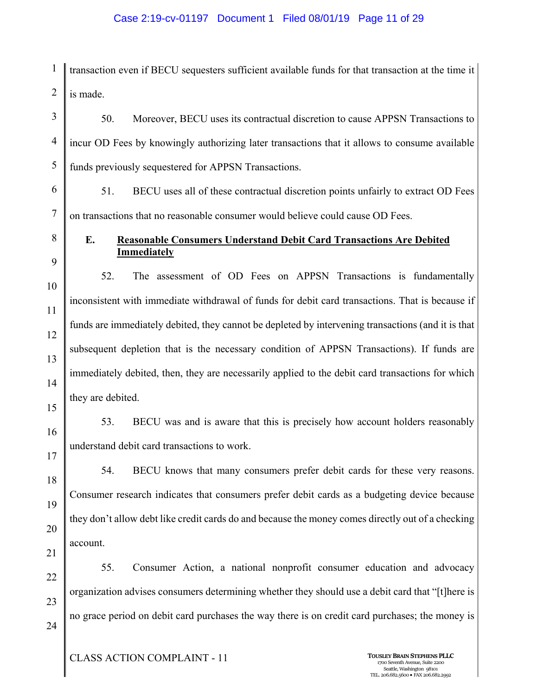#### Case 2:19-cv-01197 Document 1 Filed 08/01/19 Page 11 of 29

1 2 transaction even if BECU sequesters sufficient available funds for that transaction at the time it is made.

3 4 5 6 7 8 50. Moreover, BECU uses its contractual discretion to cause APPSN Transactions to incur OD Fees by knowingly authorizing later transactions that it allows to consume available funds previously sequestered for APPSN Transactions. 51. BECU uses all of these contractual discretion points unfairly to extract OD Fees on transactions that no reasonable consumer would believe could cause OD Fees. **E. Reasonable Consumers Understand Debit Card Transactions Are Debited** 

**Immediately** 

10 11 12 13 14 52. The assessment of OD Fees on APPSN Transactions is fundamentally inconsistent with immediate withdrawal of funds for debit card transactions. That is because if funds are immediately debited, they cannot be depleted by intervening transactions (and it is that subsequent depletion that is the necessary condition of APPSN Transactions). If funds are immediately debited, then, they are necessarily applied to the debit card transactions for which they are debited.

15

16

17

9

53. BECU was and is aware that this is precisely how account holders reasonably understand debit card transactions to work.

18

19

20

21

54. BECU knows that many consumers prefer debit cards for these very reasons. Consumer research indicates that consumers prefer debit cards as a budgeting device because they don't allow debt like credit cards do and because the money comes directly out of a checking account.

22 23 24 55. Consumer Action, a national nonprofit consumer education and advocacy organization advises consumers determining whether they should use a debit card that "[t]here is no grace period on debit card purchases the way there is on credit card purchases; the money is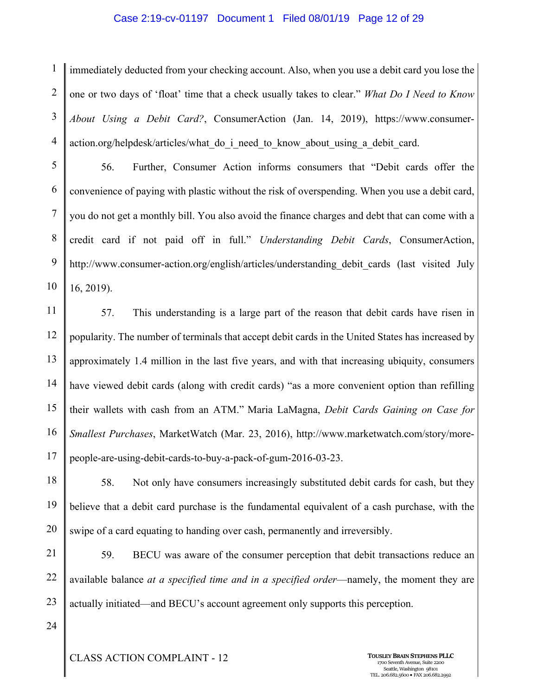#### Case 2:19-cv-01197 Document 1 Filed 08/01/19 Page 12 of 29

1 2 3 4 immediately deducted from your checking account. Also, when you use a debit card you lose the one or two days of 'float' time that a check usually takes to clear." *What Do I Need to Know About Using a Debit Card?*, ConsumerAction (Jan. 14, 2019), https://www.consumeraction.org/helpdesk/articles/what do i need to know about using a debit card.

5 6 7 8 9 10 56. Further, Consumer Action informs consumers that "Debit cards offer the convenience of paying with plastic without the risk of overspending. When you use a debit card, you do not get a monthly bill. You also avoid the finance charges and debt that can come with a credit card if not paid off in full." *Understanding Debit Cards*, ConsumerAction, http://www.consumer-action.org/english/articles/understanding debit cards (last visited July 16, 2019).

11 12 13 14 15 16 17 57. This understanding is a large part of the reason that debit cards have risen in popularity. The number of terminals that accept debit cards in the United States has increased by approximately 1.4 million in the last five years, and with that increasing ubiquity, consumers have viewed debit cards (along with credit cards) "as a more convenient option than refilling their wallets with cash from an ATM." Maria LaMagna, *Debit Cards Gaining on Case for Smallest Purchases*, MarketWatch (Mar. 23, 2016), http://www.marketwatch.com/story/morepeople-are-using-debit-cards-to-buy-a-pack-of-gum-2016-03-23.

18 19 20 58. Not only have consumers increasingly substituted debit cards for cash, but they believe that a debit card purchase is the fundamental equivalent of a cash purchase, with the swipe of a card equating to handing over cash, permanently and irreversibly.

21 22 23 59. BECU was aware of the consumer perception that debit transactions reduce an available balance *at a specified time and in a specified order*—namely, the moment they are actually initiated—and BECU's account agreement only supports this perception.

24

**CLASS ACTION COMPLAINT - 12 TOUSLEY BRAIN STEPHENS PLLC**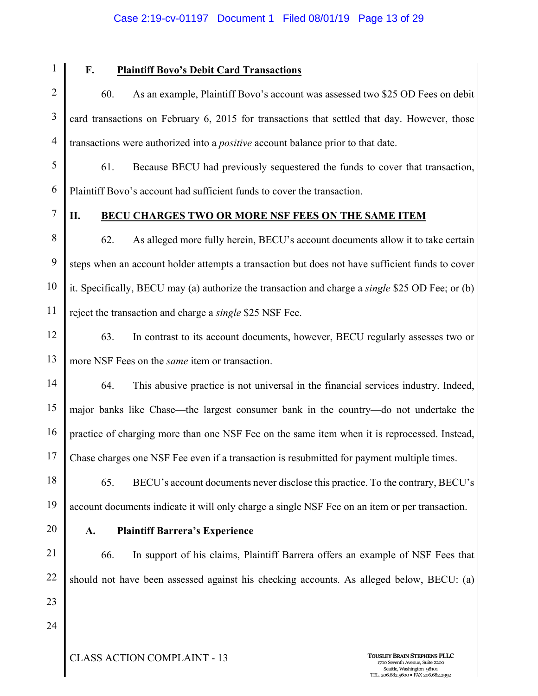#### Case 2:19-cv-01197 Document 1 Filed 08/01/19 Page 13 of 29

1

## **F. Plaintiff Bovo's Debit Card Transactions**

2 3 4 60. As an example, Plaintiff Bovo's account was assessed two \$25 OD Fees on debit card transactions on February 6, 2015 for transactions that settled that day. However, those transactions were authorized into a *positive* account balance prior to that date.

5 6 61. Because BECU had previously sequestered the funds to cover that transaction, Plaintiff Bovo's account had sufficient funds to cover the transaction.

7

## **II. BECU CHARGES TWO OR MORE NSF FEES ON THE SAME ITEM**

8 9 10 11 62. As alleged more fully herein, BECU's account documents allow it to take certain steps when an account holder attempts a transaction but does not have sufficient funds to cover it. Specifically, BECU may (a) authorize the transaction and charge a *single* \$25 OD Fee; or (b) reject the transaction and charge a *single* \$25 NSF Fee.

12 13 63. In contrast to its account documents, however, BECU regularly assesses two or more NSF Fees on the *same* item or transaction.

14 15 16 17 64. This abusive practice is not universal in the financial services industry. Indeed, major banks like Chase—the largest consumer bank in the country—do not undertake the practice of charging more than one NSF Fee on the same item when it is reprocessed. Instead, Chase charges one NSF Fee even if a transaction is resubmitted for payment multiple times.

18 19 65. BECU's account documents never disclose this practice. To the contrary, BECU's account documents indicate it will only charge a single NSF Fee on an item or per transaction.

20

#### **A. Plaintiff Barrera's Experience**

21 22 23 66. In support of his claims, Plaintiff Barrera offers an example of NSF Fees that should not have been assessed against his checking accounts. As alleged below, BECU: (a)

24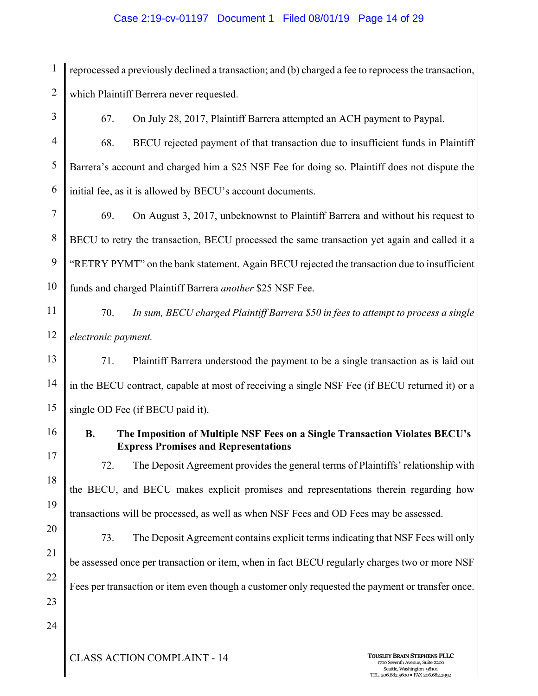### Case 2:19-cv-01197 Document 1 Filed 08/01/19 Page 14 of 29

1 2 reprocessed a previously declined a transaction; and (b) charged a fee to reprocess the transaction, which Plaintiff Berrera never requested.

3

67. On July 28, 2017, Plaintiff Barrera attempted an ACH payment to Paypal.

4 5 6 68. BECU rejected payment of that transaction due to insufficient funds in Plaintiff Barrera's account and charged him a \$25 NSF Fee for doing so. Plaintiff does not dispute the initial fee, as it is allowed by BECU's account documents.

7 8 9 10 69. On August 3, 2017, unbeknownst to Plaintiff Barrera and without his request to BECU to retry the transaction, BECU processed the same transaction yet again and called it a "RETRY PYMT" on the bank statement. Again BECU rejected the transaction due to insufficient funds and charged Plaintiff Barrera *another* \$25 NSF Fee.

11 12 70. *In sum, BECU charged Plaintiff Barrera \$50 in fees to attempt to process a single electronic payment.*

13 14 15 71. Plaintiff Barrera understood the payment to be a single transaction as is laid out in the BECU contract, capable at most of receiving a single NSF Fee (if BECU returned it) or a single OD Fee (if BECU paid it).

16

17

## **B. The Imposition of Multiple NSF Fees on a Single Transaction Violates BECU's Express Promises and Representations**

18 72. The Deposit Agreement provides the general terms of Plaintiffs' relationship with the BECU, and BECU makes explicit promises and representations therein regarding how transactions will be processed, as well as when NSF Fees and OD Fees may be assessed.

20

21

22

19

73. The Deposit Agreement contains explicit terms indicating that NSF Fees will only be assessed once per transaction or item, when in fact BECU regularly charges two or more NSF Fees per transaction or item even though a customer only requested the payment or transfer once.

- 23
- 24

**CLASS ACTION COMPLAINT - 14 TOUSLEY BRAIN STEPHENS PLLC**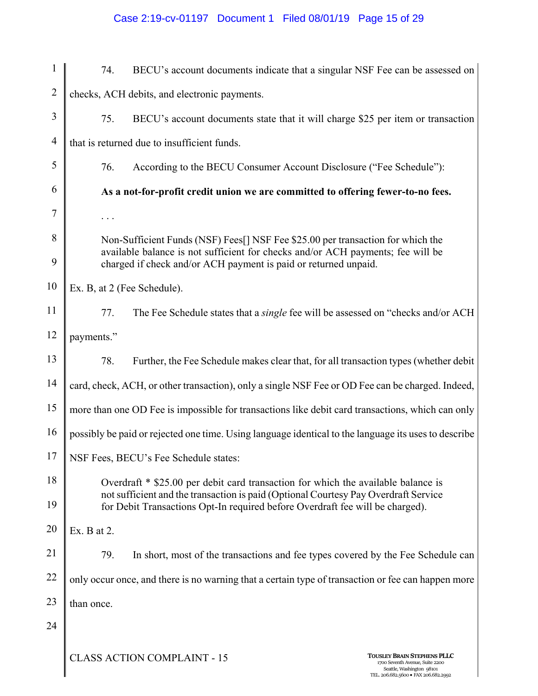## Case 2:19-cv-01197 Document 1 Filed 08/01/19 Page 15 of 29

| $\mathbf{1}$   | 74.                                                                                                                                                                                                                                   | BECU's account documents indicate that a singular NSF Fee can be assessed on            |                                                                                                                                            |
|----------------|---------------------------------------------------------------------------------------------------------------------------------------------------------------------------------------------------------------------------------------|-----------------------------------------------------------------------------------------|--------------------------------------------------------------------------------------------------------------------------------------------|
| $\overline{2}$ | checks, ACH debits, and electronic payments.                                                                                                                                                                                          |                                                                                         |                                                                                                                                            |
| 3              | 75.                                                                                                                                                                                                                                   | BECU's account documents state that it will charge \$25 per item or transaction         |                                                                                                                                            |
| $\overline{4}$ |                                                                                                                                                                                                                                       | that is returned due to insufficient funds.                                             |                                                                                                                                            |
| 5              | 76.                                                                                                                                                                                                                                   | According to the BECU Consumer Account Disclosure ("Fee Schedule"):                     |                                                                                                                                            |
| 6              | As a not-for-profit credit union we are committed to offering fewer-to-no fees.                                                                                                                                                       |                                                                                         |                                                                                                                                            |
| 7              |                                                                                                                                                                                                                                       |                                                                                         |                                                                                                                                            |
| 8              | Non-Sufficient Funds (NSF) Fees[] NSF Fee \$25.00 per transaction for which the<br>available balance is not sufficient for checks and/or ACH payments; fee will be<br>charged if check and/or ACH payment is paid or returned unpaid. |                                                                                         |                                                                                                                                            |
| 9              |                                                                                                                                                                                                                                       |                                                                                         |                                                                                                                                            |
| 10             | Ex. B, at 2 (Fee Schedule).                                                                                                                                                                                                           |                                                                                         |                                                                                                                                            |
| 11             | 77.                                                                                                                                                                                                                                   | The Fee Schedule states that a <i>single</i> fee will be assessed on "checks and/or ACH |                                                                                                                                            |
| 12             | payments."                                                                                                                                                                                                                            |                                                                                         |                                                                                                                                            |
| 13             | 78.                                                                                                                                                                                                                                   | Further, the Fee Schedule makes clear that, for all transaction types (whether debit    |                                                                                                                                            |
| 14             | card, check, ACH, or other transaction), only a single NSF Fee or OD Fee can be charged. Indeed,                                                                                                                                      |                                                                                         |                                                                                                                                            |
| 15             | more than one OD Fee is impossible for transactions like debit card transactions, which can only                                                                                                                                      |                                                                                         |                                                                                                                                            |
| 16             | possibly be paid or rejected one time. Using language identical to the language its uses to describe                                                                                                                                  |                                                                                         |                                                                                                                                            |
| 17             | NSF Fees, BECU's Fee Schedule states:                                                                                                                                                                                                 |                                                                                         |                                                                                                                                            |
| 18             | Overdraft * \$25.00 per debit card transaction for which the available balance is                                                                                                                                                     |                                                                                         |                                                                                                                                            |
| 19             | not sufficient and the transaction is paid (Optional Courtesy Pay Overdraft Service<br>for Debit Transactions Opt-In required before Overdraft fee will be charged).                                                                  |                                                                                         |                                                                                                                                            |
| 20             | Ex. B at 2.                                                                                                                                                                                                                           |                                                                                         |                                                                                                                                            |
| 21             | 79.                                                                                                                                                                                                                                   | In short, most of the transactions and fee types covered by the Fee Schedule can        |                                                                                                                                            |
| 22             | only occur once, and there is no warning that a certain type of transaction or fee can happen more                                                                                                                                    |                                                                                         |                                                                                                                                            |
| 23             | than once.                                                                                                                                                                                                                            |                                                                                         |                                                                                                                                            |
| 24             |                                                                                                                                                                                                                                       |                                                                                         |                                                                                                                                            |
|                |                                                                                                                                                                                                                                       | <b>CLASS ACTION COMPLAINT - 15</b>                                                      | <b>TOUSLEY BRAIN STEPHENS PLLC</b><br>1700 Seventh Avenue, Suite 2200<br>Seattle, Washington 98101<br>TEL. 206.682.5600 · FAX 206.682.2992 |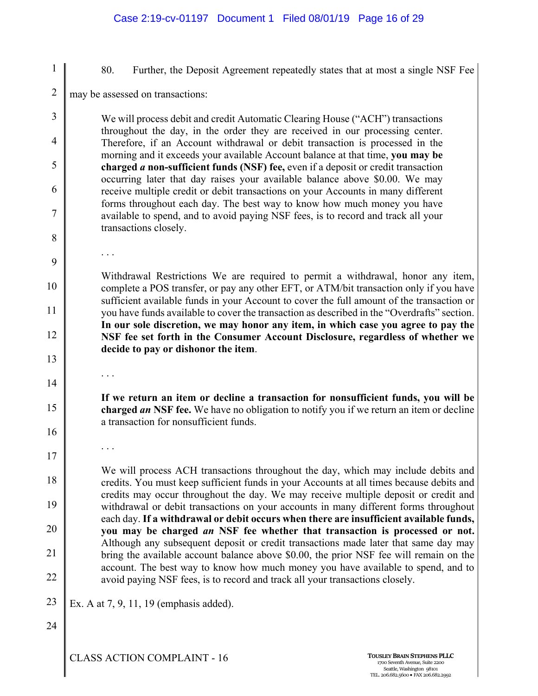#### Case 2:19-cv-01197 Document 1 Filed 08/01/19 Page 16 of 29

1 2 3 4 5 6 7 8 9 10 11 12 13 14 15 16 17 18 19 20 21 22 23 24 80. Further, the Deposit Agreement repeatedly states that at most a single NSF Fee may be assessed on transactions: We will process debit and credit Automatic Clearing House ("ACH") transactions throughout the day, in the order they are received in our processing center. Therefore, if an Account withdrawal or debit transaction is processed in the morning and it exceeds your available Account balance at that time, **you may be charged** *a* **non-sufficient funds (NSF) fee,** even if a deposit or credit transaction occurring later that day raises your available balance above \$0.00. We may receive multiple credit or debit transactions on your Accounts in many different forms throughout each day. The best way to know how much money you have available to spend, and to avoid paying NSF fees, is to record and track all your transactions closely. . . . Withdrawal Restrictions We are required to permit a withdrawal, honor any item, complete a POS transfer, or pay any other EFT, or ATM/bit transaction only if you have sufficient available funds in your Account to cover the full amount of the transaction or you have funds available to cover the transaction as described in the "Overdrafts" section. **In our sole discretion, we may honor any item, in which case you agree to pay the NSF fee set forth in the Consumer Account Disclosure, regardless of whether we decide to pay or dishonor the item**. . . . **If we return an item or decline a transaction for nonsufficient funds, you will be charged** *an* **NSF fee.** We have no obligation to notify you if we return an item or decline a transaction for nonsufficient funds. . . . We will process ACH transactions throughout the day, which may include debits and credits. You must keep sufficient funds in your Accounts at all times because debits and credits may occur throughout the day. We may receive multiple deposit or credit and withdrawal or debit transactions on your accounts in many different forms throughout each day. **If a withdrawal or debit occurs when there are insufficient available funds, you may be charged** *an* **NSF fee whether that transaction is processed or not.** Although any subsequent deposit or credit transactions made later that same day may bring the available account balance above \$0.00, the prior NSF fee will remain on the account. The best way to know how much money you have available to spend, and to avoid paying NSF fees, is to record and track all your transactions closely. Ex. A at 7, 9, 11, 19 (emphasis added).

**CLASS ACTION COMPLAINT - 16 TOUSLEY BRAIN STEPHENS PLLC**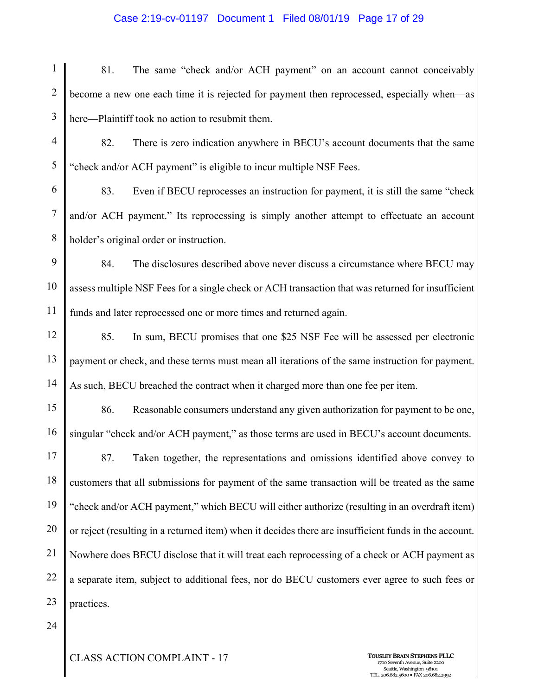#### Case 2:19-cv-01197 Document 1 Filed 08/01/19 Page 17 of 29

1 2 3 81. The same "check and/or ACH payment" on an account cannot conceivably become a new one each time it is rejected for payment then reprocessed, especially when—as here—Plaintiff took no action to resubmit them.

4 5 82. There is zero indication anywhere in BECU's account documents that the same "check and/or ACH payment" is eligible to incur multiple NSF Fees.

6 7 8 83. Even if BECU reprocesses an instruction for payment, it is still the same "check and/or ACH payment." Its reprocessing is simply another attempt to effectuate an account holder's original order or instruction.

9 10 11 84. The disclosures described above never discuss a circumstance where BECU may assess multiple NSF Fees for a single check or ACH transaction that was returned for insufficient funds and later reprocessed one or more times and returned again.

12 13 14 85. In sum, BECU promises that one \$25 NSF Fee will be assessed per electronic payment or check, and these terms must mean all iterations of the same instruction for payment. As such, BECU breached the contract when it charged more than one fee per item.

15 16 86. Reasonable consumers understand any given authorization for payment to be one, singular "check and/or ACH payment," as those terms are used in BECU's account documents.

17 18 19 20 21 22 23 87. Taken together, the representations and omissions identified above convey to customers that all submissions for payment of the same transaction will be treated as the same "check and/or ACH payment," which BECU will either authorize (resulting in an overdraft item) or reject (resulting in a returned item) when it decides there are insufficient funds in the account. Nowhere does BECU disclose that it will treat each reprocessing of a check or ACH payment as a separate item, subject to additional fees, nor do BECU customers ever agree to such fees or practices.

24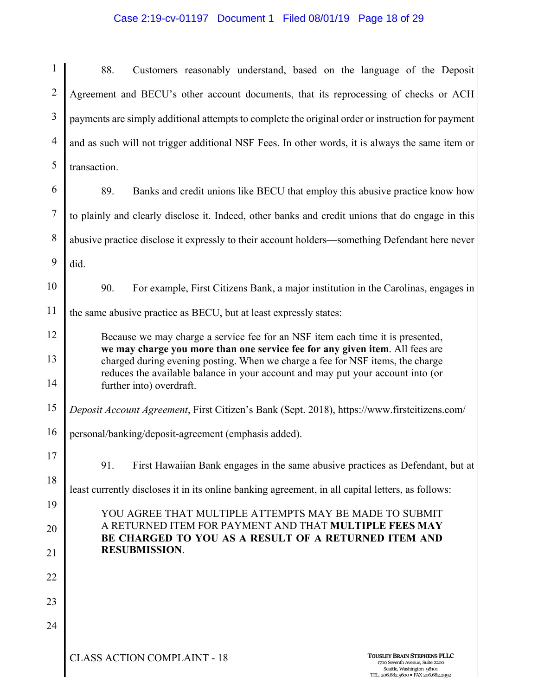## Case 2:19-cv-01197 Document 1 Filed 08/01/19 Page 18 of 29

| 1              | 88.<br>Customers reasonably understand, based on the language of the Deposit                                                                                                     |  |  |
|----------------|----------------------------------------------------------------------------------------------------------------------------------------------------------------------------------|--|--|
| $\overline{2}$ | Agreement and BECU's other account documents, that its reprocessing of checks or ACH                                                                                             |  |  |
| 3              | payments are simply additional attempts to complete the original order or instruction for payment                                                                                |  |  |
| $\overline{4}$ | and as such will not trigger additional NSF Fees. In other words, it is always the same item or                                                                                  |  |  |
| 5              | transaction.                                                                                                                                                                     |  |  |
| 6              | 89.<br>Banks and credit unions like BECU that employ this abusive practice know how                                                                                              |  |  |
| $\tau$         | to plainly and clearly disclose it. Indeed, other banks and credit unions that do engage in this                                                                                 |  |  |
| 8              | abusive practice disclose it expressly to their account holders—something Defendant here never                                                                                   |  |  |
| 9              | did.                                                                                                                                                                             |  |  |
| 10             | 90.<br>For example, First Citizens Bank, a major institution in the Carolinas, engages in                                                                                        |  |  |
| 11             | the same abusive practice as BECU, but at least expressly states:                                                                                                                |  |  |
| 12             | Because we may charge a service fee for an NSF item each time it is presented,<br>we may charge you more than one service fee for any given item. All fees are                   |  |  |
| 13             | charged during evening posting. When we charge a fee for NSF items, the charge<br>reduces the available balance in your account and may put your account into (or                |  |  |
| 14             | further into) overdraft.                                                                                                                                                         |  |  |
| 15             | Deposit Account Agreement, First Citizen's Bank (Sept. 2018), https://www.firstcitizens.com/                                                                                     |  |  |
| 16             | personal/banking/deposit-agreement (emphasis added).                                                                                                                             |  |  |
| 17             | 91.<br>First Hawaiian Bank engages in the same abusive practices as Defendant, but at                                                                                            |  |  |
| 18             | least currently discloses it in its online banking agreement, in all capital letters, as follows:                                                                                |  |  |
| 19             | YOU AGREE THAT MULTIPLE ATTEMPTS MAY BE MADE TO SUBMIT<br>A RETURNED ITEM FOR PAYMENT AND THAT MULTIPLE FEES MAY<br>BE CHARGED TO YOU AS A RESULT OF A RETURNED ITEM AND         |  |  |
| 20             |                                                                                                                                                                                  |  |  |
| 21             | <b>RESUBMISSION.</b>                                                                                                                                                             |  |  |
| 22             |                                                                                                                                                                                  |  |  |
| 23             |                                                                                                                                                                                  |  |  |
| 24             |                                                                                                                                                                                  |  |  |
|                | <b>CLASS ACTION COMPLAINT - 18</b><br><b>TOUSLEY BRAIN STEPHENS PLLC</b><br>1700 Seventh Avenue, Suite 2200<br>Seattle, Washington 98101<br>TEL. 206.682.5600 · FAX 206.682.2992 |  |  |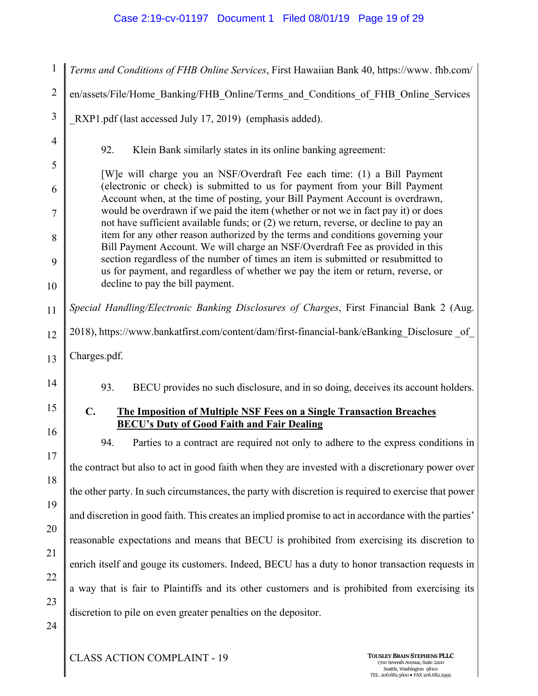## Case 2:19-cv-01197 Document 1 Filed 08/01/19 Page 19 of 29

| $\mathbf{1}$        | Terms and Conditions of FHB Online Services, First Hawaiian Bank 40, https://www.fhb.com/                                                                                                                                                                    |  |  |
|---------------------|--------------------------------------------------------------------------------------------------------------------------------------------------------------------------------------------------------------------------------------------------------------|--|--|
| $\overline{2}$      | en/assets/File/Home Banking/FHB Online/Terms and Conditions of FHB Online Services                                                                                                                                                                           |  |  |
| 3                   | RXP1.pdf (last accessed July 17, 2019) (emphasis added).                                                                                                                                                                                                     |  |  |
| $\overline{4}$      | 92.<br>Klein Bank similarly states in its online banking agreement:                                                                                                                                                                                          |  |  |
| 5                   | [W] e will charge you an NSF/Overdraft Fee each time: (1) a Bill Payment                                                                                                                                                                                     |  |  |
| 6                   | (electronic or check) is submitted to us for payment from your Bill Payment<br>Account when, at the time of posting, your Bill Payment Account is overdrawn,                                                                                                 |  |  |
| $\overline{7}$<br>8 | would be overdrawn if we paid the item (whether or not we in fact pay it) or does<br>not have sufficient available funds; or (2) we return, reverse, or decline to pay an<br>item for any other reason authorized by the terms and conditions governing your |  |  |
| 9                   | Bill Payment Account. We will charge an NSF/Overdraft Fee as provided in this<br>section regardless of the number of times an item is submitted or resubmitted to                                                                                            |  |  |
| 10                  | us for payment, and regardless of whether we pay the item or return, reverse, or<br>decline to pay the bill payment.                                                                                                                                         |  |  |
| 11                  | Special Handling/Electronic Banking Disclosures of Charges, First Financial Bank 2 (Aug.                                                                                                                                                                     |  |  |
| 12                  | 2018), https://www.bankatfirst.com/content/dam/first-financial-bank/eBanking Disclosure of                                                                                                                                                                   |  |  |
| 13                  | Charges.pdf.                                                                                                                                                                                                                                                 |  |  |
| 14                  | 93.<br>BECU provides no such disclosure, and in so doing, deceives its account holders.                                                                                                                                                                      |  |  |
| 15                  | $C_{\bullet}$<br><b>The Imposition of Multiple NSF Fees on a Single Transaction Breaches</b><br><b>BECU's Duty of Good Faith and Fair Dealing</b>                                                                                                            |  |  |
| 16                  | 94.<br>Parties to a contract are required not only to adhere to the express conditions in                                                                                                                                                                    |  |  |
| 17                  | the contract but also to act in good faith when they are invested with a discretionary power over                                                                                                                                                            |  |  |
| 18                  | the other party. In such circumstances, the party with discretion is required to exercise that power                                                                                                                                                         |  |  |
| 19                  | and discretion in good faith. This creates an implied promise to act in accordance with the parties'                                                                                                                                                         |  |  |
| 20                  | reasonable expectations and means that BECU is prohibited from exercising its discretion to                                                                                                                                                                  |  |  |
| 21                  | enrich itself and gouge its customers. Indeed, BECU has a duty to honor transaction requests in                                                                                                                                                              |  |  |
| 22<br>23            | a way that is fair to Plaintiffs and its other customers and is prohibited from exercising its                                                                                                                                                               |  |  |
| 24                  | discretion to pile on even greater penalties on the depositor.                                                                                                                                                                                               |  |  |
|                     |                                                                                                                                                                                                                                                              |  |  |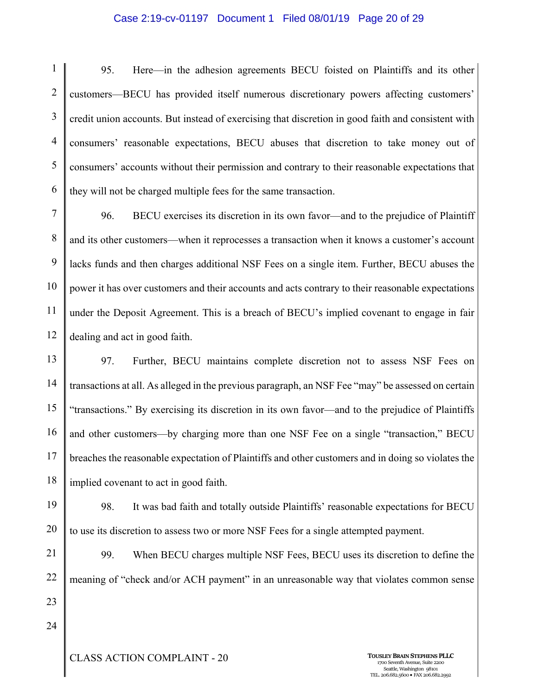#### Case 2:19-cv-01197 Document 1 Filed 08/01/19 Page 20 of 29

1 2 3 4 5 6 95. Here—in the adhesion agreements BECU foisted on Plaintiffs and its other customers—BECU has provided itself numerous discretionary powers affecting customers' credit union accounts. But instead of exercising that discretion in good faith and consistent with consumers' reasonable expectations, BECU abuses that discretion to take money out of consumers' accounts without their permission and contrary to their reasonable expectations that they will not be charged multiple fees for the same transaction.

7 8 9 10 11 12 96. BECU exercises its discretion in its own favor—and to the prejudice of Plaintiff and its other customers—when it reprocesses a transaction when it knows a customer's account lacks funds and then charges additional NSF Fees on a single item. Further, BECU abuses the power it has over customers and their accounts and acts contrary to their reasonable expectations under the Deposit Agreement. This is a breach of BECU's implied covenant to engage in fair dealing and act in good faith.

13 14 15 16 17 18 97. Further, BECU maintains complete discretion not to assess NSF Fees on transactions at all. As alleged in the previous paragraph, an NSF Fee "may" be assessed on certain "transactions." By exercising its discretion in its own favor—and to the prejudice of Plaintiffs and other customers—by charging more than one NSF Fee on a single "transaction," BECU breaches the reasonable expectation of Plaintiffs and other customers and in doing so violates the implied covenant to act in good faith.

19 20 98. It was bad faith and totally outside Plaintiffs' reasonable expectations for BECU to use its discretion to assess two or more NSF Fees for a single attempted payment.

21 22 23 99. When BECU charges multiple NSF Fees, BECU uses its discretion to define the meaning of "check and/or ACH payment" in an unreasonable way that violates common sense

24

CLASS ACTION COMPLAINT - 20 **TOUSLEYBRAIN STEPHENSPLLC** <sup>1700</sup> Seventh Avenue, Suite <sup>2200</sup>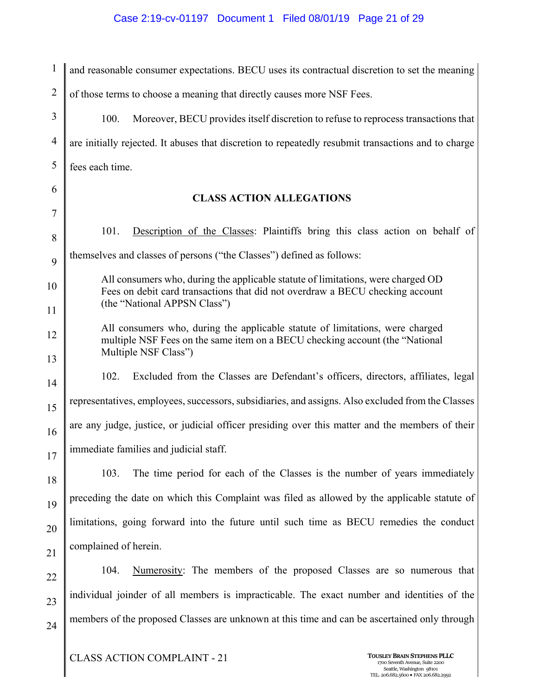## Case 2:19-cv-01197 Document 1 Filed 08/01/19 Page 21 of 29

| $\mathbf{1}$   | and reasonable consumer expectations. BECU uses its contractual discretion to set the meaning                                                                                                     |
|----------------|---------------------------------------------------------------------------------------------------------------------------------------------------------------------------------------------------|
| $\overline{2}$ | of those terms to choose a meaning that directly causes more NSF Fees.                                                                                                                            |
| 3              | 100.<br>Moreover, BECU provides itself discretion to refuse to reprocess transactions that                                                                                                        |
| $\overline{4}$ | are initially rejected. It abuses that discretion to repeatedly resubmit transactions and to charge                                                                                               |
| 5              | fees each time.                                                                                                                                                                                   |
| 6              | <b>CLASS ACTION ALLEGATIONS</b>                                                                                                                                                                   |
| 7              |                                                                                                                                                                                                   |
| 8              | Description of the Classes: Plaintiffs bring this class action on behalf of<br>101.                                                                                                               |
| 9              | themselves and classes of persons ("the Classes") defined as follows:                                                                                                                             |
| 10             | All consumers who, during the applicable statute of limitations, were charged OD<br>Fees on debit card transactions that did not overdraw a BECU checking account<br>(the "National APPSN Class") |
| 11             |                                                                                                                                                                                                   |
| 12<br>13       | All consumers who, during the applicable statute of limitations, were charged<br>multiple NSF Fees on the same item on a BECU checking account (the "National<br>Multiple NSF Class")             |
| 14             | 102.<br>Excluded from the Classes are Defendant's officers, directors, affiliates, legal                                                                                                          |
| 15             | representatives, employees, successors, subsidiaries, and assigns. Also excluded from the Classes                                                                                                 |
| 16             | are any judge, justice, or judicial officer presiding over this matter and the members of their                                                                                                   |
| 17             | immediate families and judicial staff.                                                                                                                                                            |
| 18             | 103.<br>The time period for each of the Classes is the number of years immediately                                                                                                                |
| 19             | preceding the date on which this Complaint was filed as allowed by the applicable statute of                                                                                                      |
| 20             | limitations, going forward into the future until such time as BECU remedies the conduct                                                                                                           |
| 21             | complained of herein.                                                                                                                                                                             |
| 22             | Numerosity: The members of the proposed Classes are so numerous that<br>104.                                                                                                                      |
| 23             | individual joinder of all members is impracticable. The exact number and identities of the                                                                                                        |
| 24             | members of the proposed Classes are unknown at this time and can be ascertained only through                                                                                                      |
|                |                                                                                                                                                                                                   |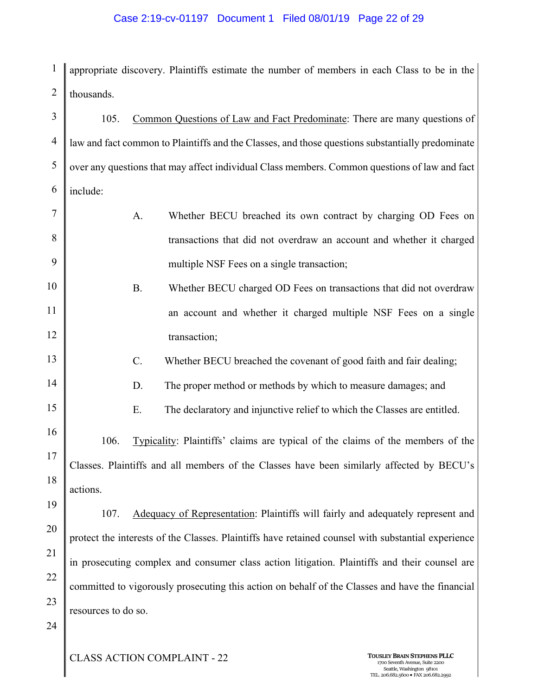#### Case 2:19-cv-01197 Document 1 Filed 08/01/19 Page 22 of 29

1 2 appropriate discovery. Plaintiffs estimate the number of members in each Class to be in the thousands.

3 4 5 6 7 8 9 10 11 12 13 14 15 16 17 18 19 20 21 22 23 24 105. Common Questions of Law and Fact Predominate: There are many questions of law and fact common to Plaintiffs and the Classes, and those questions substantially predominate over any questions that may affect individual Class members. Common questions of law and fact include: A. Whether BECU breached its own contract by charging OD Fees on transactions that did not overdraw an account and whether it charged multiple NSF Fees on a single transaction; B. Whether BECU charged OD Fees on transactions that did not overdraw an account and whether it charged multiple NSF Fees on a single transaction; C. Whether BECU breached the covenant of good faith and fair dealing; D. The proper method or methods by which to measure damages; and E. The declaratory and injunctive relief to which the Classes are entitled. 106. Typicality: Plaintiffs' claims are typical of the claims of the members of the Classes. Plaintiffs and all members of the Classes have been similarly affected by BECU's actions. 107. Adequacy of Representation: Plaintiffs will fairly and adequately represent and protect the interests of the Classes. Plaintiffs have retained counsel with substantial experience in prosecuting complex and consumer class action litigation. Plaintiffs and their counsel are committed to vigorously prosecuting this action on behalf of the Classes and have the financial resources to do so.

CLASS ACTION COMPLAINT - 22 **TOUSLEYBRAIN STEPHENSPLLC** <sup>1700</sup> Seventh Avenue, Suite <sup>2200</sup>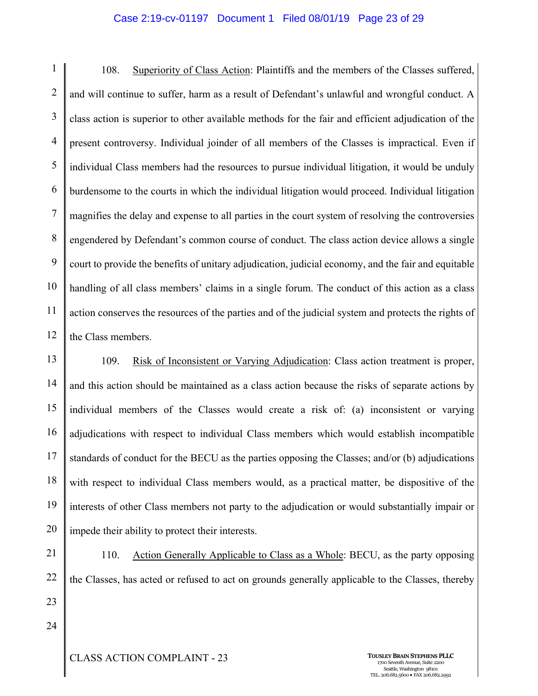#### Case 2:19-cv-01197 Document 1 Filed 08/01/19 Page 23 of 29

1 2 3 4 5 6 7 8 9 10 11 12 108. Superiority of Class Action: Plaintiffs and the members of the Classes suffered, and will continue to suffer, harm as a result of Defendant's unlawful and wrongful conduct. A class action is superior to other available methods for the fair and efficient adjudication of the present controversy. Individual joinder of all members of the Classes is impractical. Even if individual Class members had the resources to pursue individual litigation, it would be unduly burdensome to the courts in which the individual litigation would proceed. Individual litigation magnifies the delay and expense to all parties in the court system of resolving the controversies engendered by Defendant's common course of conduct. The class action device allows a single court to provide the benefits of unitary adjudication, judicial economy, and the fair and equitable handling of all class members' claims in a single forum. The conduct of this action as a class action conserves the resources of the parties and of the judicial system and protects the rights of the Class members.

13 14 15 16 17 18 19 20 109. Risk of Inconsistent or Varying Adjudication: Class action treatment is proper, and this action should be maintained as a class action because the risks of separate actions by individual members of the Classes would create a risk of: (a) inconsistent or varying adjudications with respect to individual Class members which would establish incompatible standards of conduct for the BECU as the parties opposing the Classes; and/or (b) adjudications with respect to individual Class members would, as a practical matter, be dispositive of the interests of other Class members not party to the adjudication or would substantially impair or impede their ability to protect their interests.

21 22 23 110. Action Generally Applicable to Class as a Whole: BECU, as the party opposing the Classes, has acted or refused to act on grounds generally applicable to the Classes, thereby

24

**CLASS ACTION COMPLAINT - 23 TOUSLEY BRAIN STEPHENS PLLC** 

Seattle, Washington 98101 TEL. 206.682.5600 · FAX 206.682.2992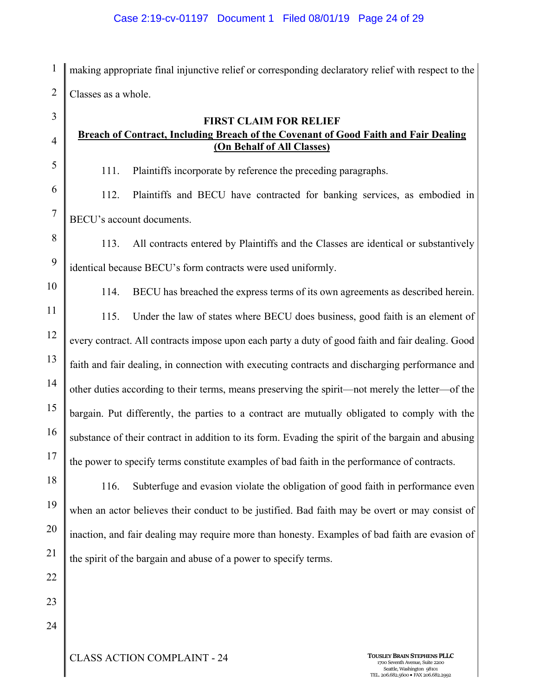1 2 making appropriate final injunctive relief or corresponding declaratory relief with respect to the Classes as a whole.

## **FIRST CLAIM FOR RELIEF Breach of Contract, Including Breach of the Covenant of Good Faith and Fair Dealing (On Behalf of All Classes)**

111. Plaintiffs incorporate by reference the preceding paragraphs.

112. Plaintiffs and BECU have contracted for banking services, as embodied in BECU's account documents.

8 9 113. All contracts entered by Plaintiffs and the Classes are identical or substantively identical because BECU's form contracts were used uniformly.

10

3

4

5

6

7

114. BECU has breached the express terms of its own agreements as described herein.

11 12 13 14 15 16 17 115. Under the law of states where BECU does business, good faith is an element of every contract. All contracts impose upon each party a duty of good faith and fair dealing. Good faith and fair dealing, in connection with executing contracts and discharging performance and other duties according to their terms, means preserving the spirit—not merely the letter—of the bargain. Put differently, the parties to a contract are mutually obligated to comply with the substance of their contract in addition to its form. Evading the spirit of the bargain and abusing the power to specify terms constitute examples of bad faith in the performance of contracts.

18 116. Subterfuge and evasion violate the obligation of good faith in performance even when an actor believes their conduct to be justified. Bad faith may be overt or may consist of inaction, and fair dealing may require more than honesty. Examples of bad faith are evasion of the spirit of the bargain and abuse of a power to specify terms.

22 23

24

19

20

21

CLASS ACTION COMPLAINT - 24 **TOUSLEYBRAIN STEPHENSPLLC** <sup>1700</sup> Seventh Avenue, Suite <sup>2200</sup>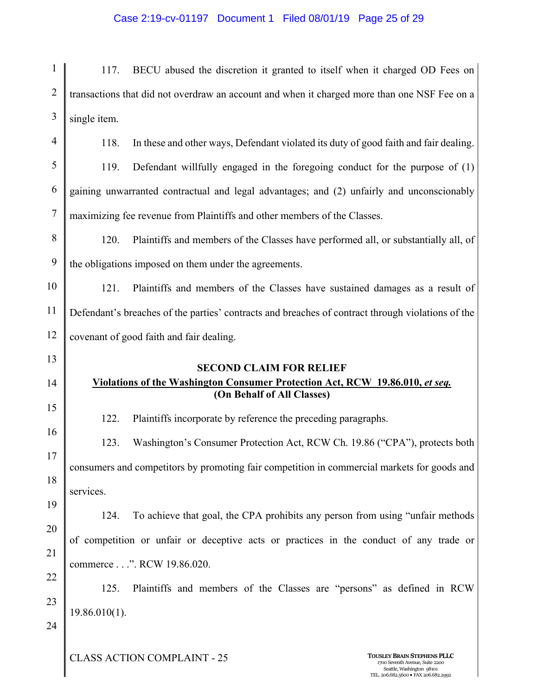#### Case 2:19-cv-01197 Document 1 Filed 08/01/19 Page 25 of 29

1 2 3 4 117. BECU abused the discretion it granted to itself when it charged OD Fees on transactions that did not overdraw an account and when it charged more than one NSF Fee on a single item.

- 5 6 7 118. In these and other ways, Defendant violated its duty of good faith and fair dealing. 119. Defendant willfully engaged in the foregoing conduct for the purpose of (1) gaining unwarranted contractual and legal advantages; and (2) unfairly and unconscionably maximizing fee revenue from Plaintiffs and other members of the Classes.
- 8 9 120. Plaintiffs and members of the Classes have performed all, or substantially all, of the obligations imposed on them under the agreements.

10 11 12 121. Plaintiffs and members of the Classes have sustained damages as a result of Defendant's breaches of the parties' contracts and breaches of contract through violations of the covenant of good faith and fair dealing.

> **SECOND CLAIM FOR RELIEF Violations of the Washington Consumer Protection Act, RCW 19.86.010,** *et seq.*  **(On Behalf of All Classes)**

122. Plaintiffs incorporate by reference the preceding paragraphs.

123. Washington's Consumer Protection Act, RCW Ch. 19.86 ("CPA"), protects both consumers and competitors by promoting fair competition in commercial markets for goods and services.

20 21 124. To achieve that goal, the CPA prohibits any person from using "unfair methods of competition or unfair or deceptive acts or practices in the conduct of any trade or commerce . . .". RCW 19.86.020.

23 125. Plaintiffs and members of the Classes are "persons" as defined in RCW 19.86.010(1).

24

22

13

14

15

16

17

18

19

**CLASS ACTION COMPLAINT - 25 TOUSLEY BRAIN STEPHENS PLLC**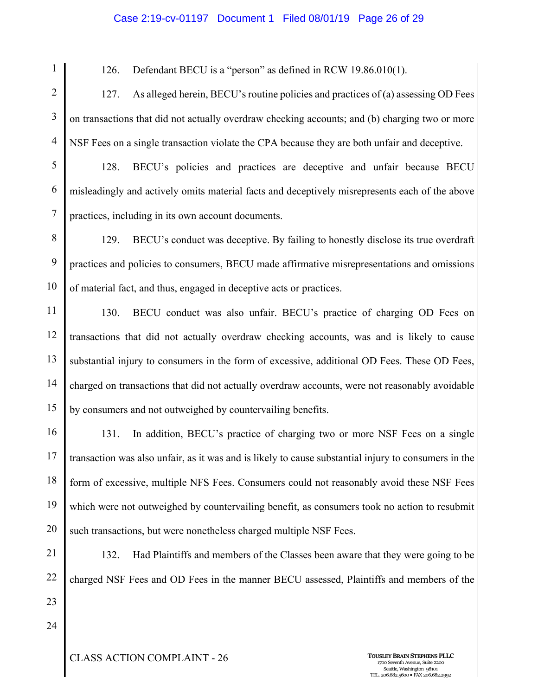#### Case 2:19-cv-01197 Document 1 Filed 08/01/19 Page 26 of 29

126. Defendant BECU is a "person" as defined in RCW 19.86.010(1).

2 3 4 127. As alleged herein, BECU's routine policies and practices of (a) assessing OD Fees on transactions that did not actually overdraw checking accounts; and (b) charging two or more NSF Fees on a single transaction violate the CPA because they are both unfair and deceptive.

5 6 7 128. BECU's policies and practices are deceptive and unfair because BECU misleadingly and actively omits material facts and deceptively misrepresents each of the above practices, including in its own account documents.

8 9 10 129. BECU's conduct was deceptive. By failing to honestly disclose its true overdraft practices and policies to consumers, BECU made affirmative misrepresentations and omissions of material fact, and thus, engaged in deceptive acts or practices.

11 12 13 14 15 130. BECU conduct was also unfair. BECU's practice of charging OD Fees on transactions that did not actually overdraw checking accounts, was and is likely to cause substantial injury to consumers in the form of excessive, additional OD Fees. These OD Fees, charged on transactions that did not actually overdraw accounts, were not reasonably avoidable by consumers and not outweighed by countervailing benefits.

16 17 18 19 20 131. In addition, BECU's practice of charging two or more NSF Fees on a single transaction was also unfair, as it was and is likely to cause substantial injury to consumers in the form of excessive, multiple NFS Fees. Consumers could not reasonably avoid these NSF Fees which were not outweighed by countervailing benefit, as consumers took no action to resubmit such transactions, but were nonetheless charged multiple NSF Fees.

21 22

1

132. Had Plaintiffs and members of the Classes been aware that they were going to be charged NSF Fees and OD Fees in the manner BECU assessed, Plaintiffs and members of the

24

23

**CLASS ACTION COMPLAINT - 26 TOUSLEY BRAIN STEPHENS PLLC**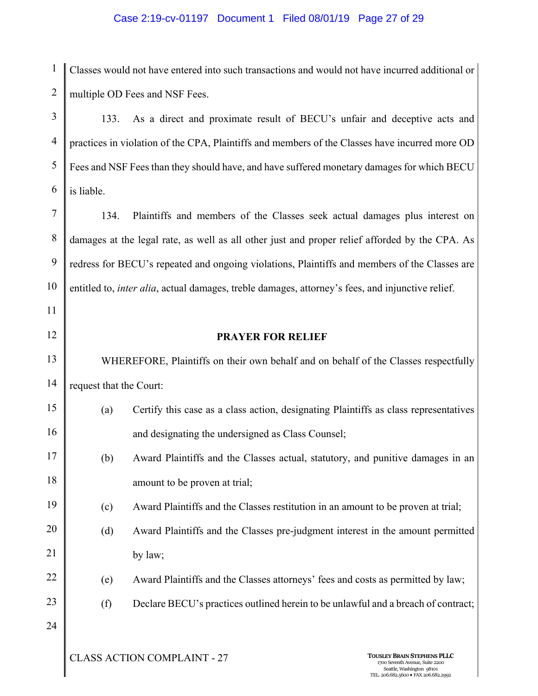### Case 2:19-cv-01197 Document 1 Filed 08/01/19 Page 27 of 29

1 2 Classes would not have entered into such transactions and would not have incurred additional or multiple OD Fees and NSF Fees.

3 4 5 6 133. As a direct and proximate result of BECU's unfair and deceptive acts and practices in violation of the CPA, Plaintiffs and members of the Classes have incurred more OD Fees and NSF Fees than they should have, and have suffered monetary damages for which BECU is liable.

7 8 9 10 134. Plaintiffs and members of the Classes seek actual damages plus interest on damages at the legal rate, as well as all other just and proper relief afforded by the CPA. As redress for BECU's repeated and ongoing violations, Plaintiffs and members of the Classes are entitled to, *inter alia*, actual damages, treble damages, attorney's fees, and injunctive relief.

11 12

17

18

#### **PRAYER FOR RELIEF**

13 14 WHEREFORE, Plaintiffs on their own behalf and on behalf of the Classes respectfully request that the Court:

- 15 16 (a) Certify this case as a class action, designating Plaintiffs as class representatives and designating the undersigned as Class Counsel;
	- (b) Award Plaintiffs and the Classes actual, statutory, and punitive damages in an amount to be proven at trial;
- 19 (c) Award Plaintiffs and the Classes restitution in an amount to be proven at trial;
- 20 21 (d) Award Plaintiffs and the Classes pre-judgment interest in the amount permitted by law;
	- (e) Award Plaintiffs and the Classes attorneys' fees and costs as permitted by law;
		- (f) Declare BECU's practices outlined herein to be unlawful and a breach of contract;
- 24

22

23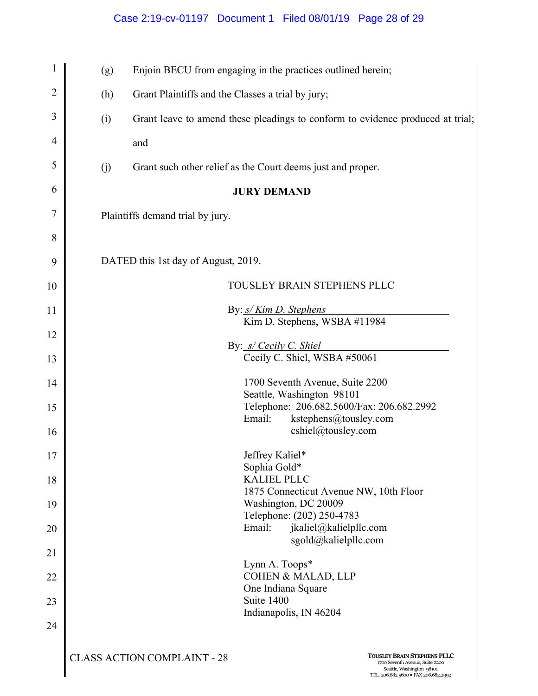## Case 2:19-cv-01197 Document 1 Filed 08/01/19 Page 28 of 29

| $\mathbf{1}$   | (g)                                 | Enjoin BECU from engaging in the practices outlined herein;                                                                                                                      |  |
|----------------|-------------------------------------|----------------------------------------------------------------------------------------------------------------------------------------------------------------------------------|--|
| $\overline{2}$ | (h)                                 | Grant Plaintiffs and the Classes a trial by jury;                                                                                                                                |  |
| 3              | (i)                                 | Grant leave to amend these pleadings to conform to evidence produced at trial;                                                                                                   |  |
| 4              |                                     | and                                                                                                                                                                              |  |
| 5              | (j)                                 | Grant such other relief as the Court deems just and proper.                                                                                                                      |  |
| 6              |                                     | <b>JURY DEMAND</b>                                                                                                                                                               |  |
| 7              | Plaintiffs demand trial by jury.    |                                                                                                                                                                                  |  |
| 8              |                                     |                                                                                                                                                                                  |  |
| 9              | DATED this 1st day of August, 2019. |                                                                                                                                                                                  |  |
| 10             |                                     | TOUSLEY BRAIN STEPHENS PLLC                                                                                                                                                      |  |
| 11             | By: s/ Kim D. Stephens              |                                                                                                                                                                                  |  |
| 12             |                                     | Kim D. Stephens, WSBA #11984                                                                                                                                                     |  |
| 13             |                                     | By: s/ Cecily C. Shiel<br>Cecily C. Shiel, WSBA #50061                                                                                                                           |  |
| 14             |                                     | 1700 Seventh Avenue, Suite 2200                                                                                                                                                  |  |
| 15             |                                     | Seattle, Washington 98101<br>Telephone: 206.682.5600/Fax: 206.682.2992                                                                                                           |  |
| 16             |                                     | kstephens@tousley.com<br>Email:<br>cshiel@tousley.com                                                                                                                            |  |
| 17             |                                     | Jeffrey Kaliel*                                                                                                                                                                  |  |
| 18             |                                     | Sophia Gold*<br><b>KALIEL PLLC</b>                                                                                                                                               |  |
| 19             |                                     | 1875 Connecticut Avenue NW, 10th Floor<br>Washington, DC 20009                                                                                                                   |  |
| 20             |                                     | Telephone: (202) 250-4783<br>Email:<br>jkaliel@kalielpllc.com                                                                                                                    |  |
| 21             |                                     | sgold@kalielpllc.com                                                                                                                                                             |  |
| 22             |                                     | Lynn A. Toops*<br><b>COHEN &amp; MALAD, LLP</b>                                                                                                                                  |  |
| 23             |                                     | One Indiana Square<br>Suite 1400                                                                                                                                                 |  |
| 24             |                                     | Indianapolis, IN 46204                                                                                                                                                           |  |
|                |                                     | <b>CLASS ACTION COMPLAINT - 28</b><br><b>TOUSLEY BRAIN STEPHENS PLLC</b><br>1700 Seventh Avenue, Suite 2200<br>Seattle, Washington 98101<br>TEL. 206.682.5600 · FAX 206.682.2992 |  |